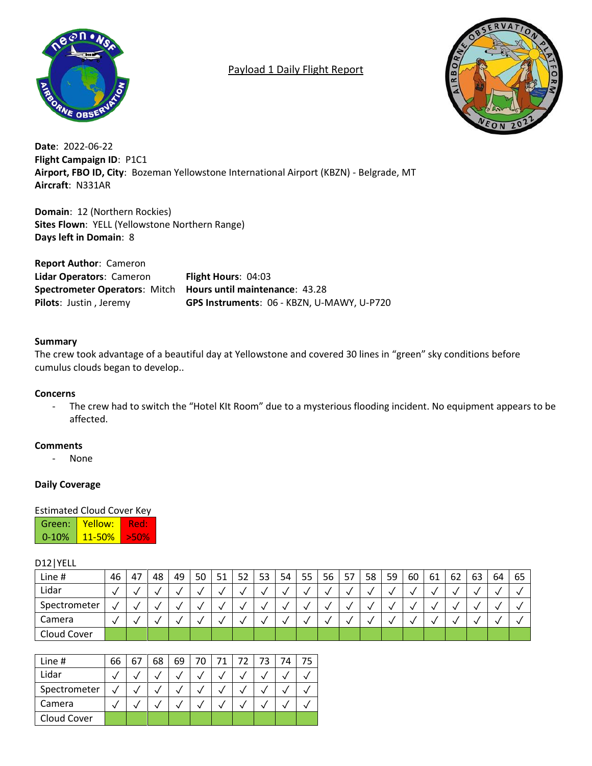

# Payload 1 Daily Flight Report



**Date**: 2022-06-22 **Flight Campaign ID**: P1C1 **Airport, FBO ID, City**: Bozeman Yellowstone International Airport (KBZN) - Belgrade, MT **Aircraft**: N331AR

**Domain**: 12 (Northern Rockies) **Sites Flown**: YELL (Yellowstone Northern Range) **Days left in Domain**: 8

**Report Author**: Cameron **Lidar Operators**: Cameron **Flight Hours**: 04:03 **Spectrometer Operators**: Mitch **Hours until maintenance**: 43.28 **Pilots**: Justin , Jeremy **GPS Instruments**: 06 - KBZN, U-MAWY, U-P720

#### **Summary**

The crew took advantage of a beautiful day at Yellowstone and covered 30 lines in "green" sky conditions before cumulus clouds began to develop..

#### **Concerns**

- The crew had to switch the "Hotel KIt Room" due to a mysterious flooding incident. No equipment appears to be affected.

#### **Comments**

- None

### **Daily Coverage**

#### Estimated Cloud Cover Key

| Green:    | Yellow:    |  |
|-----------|------------|--|
| $0 - 10%$ | $11 - 50%$ |  |

#### D12|YELL

| Line #       | 46 | 47 | 48 | 49 | 50 | 51 | 52 | 53 | 54 | 55 | 56 | 57 | 58 | 59 | 60 | 61 | 62 | 63 | 64 | 65 |
|--------------|----|----|----|----|----|----|----|----|----|----|----|----|----|----|----|----|----|----|----|----|
| Lidar        |    |    |    |    |    |    |    |    |    |    |    |    |    |    |    |    |    |    |    |    |
| Spectrometer | √  |    |    |    |    |    |    |    |    |    |    |    |    |    |    |    |    |    |    |    |
| Camera       |    |    |    |    |    |    |    |    |    |    |    |    |    |    |    |    |    |    |    |    |
| Cloud Cover  |    |    |    |    |    |    |    |    |    |    |    |    |    |    |    |    |    |    |    |    |

| Line #       | 66 | 67 | 68 | 69 | 70 | 71 | 72 | 73 | 74 |  |
|--------------|----|----|----|----|----|----|----|----|----|--|
| Lidar        |    |    |    |    |    |    |    |    |    |  |
| Spectrometer |    |    |    |    |    |    |    |    |    |  |
| Camera       |    |    |    |    |    |    |    |    |    |  |
| Cloud Cover  |    |    |    |    |    |    |    |    |    |  |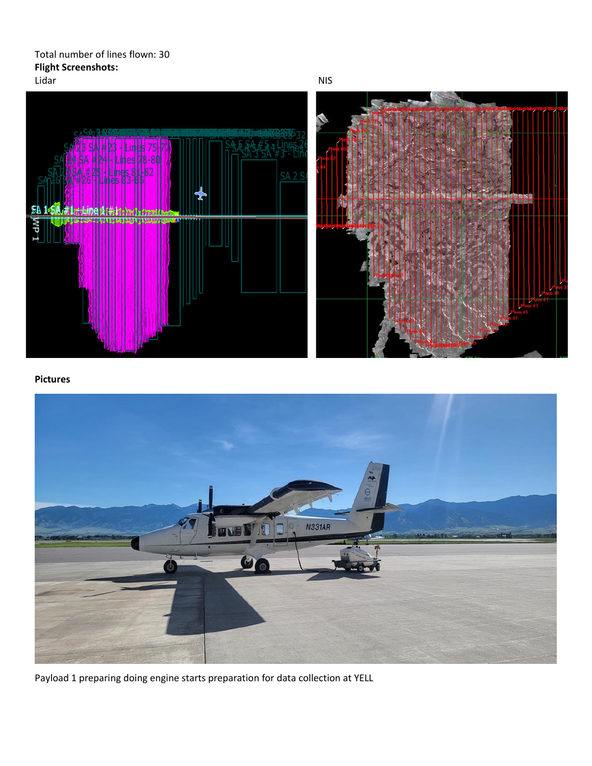Total number of lines flown: 30 **Flight Screenshots:**



#### **Pictures**



Payload 1 preparing doing engine starts preparation for data collection at YELL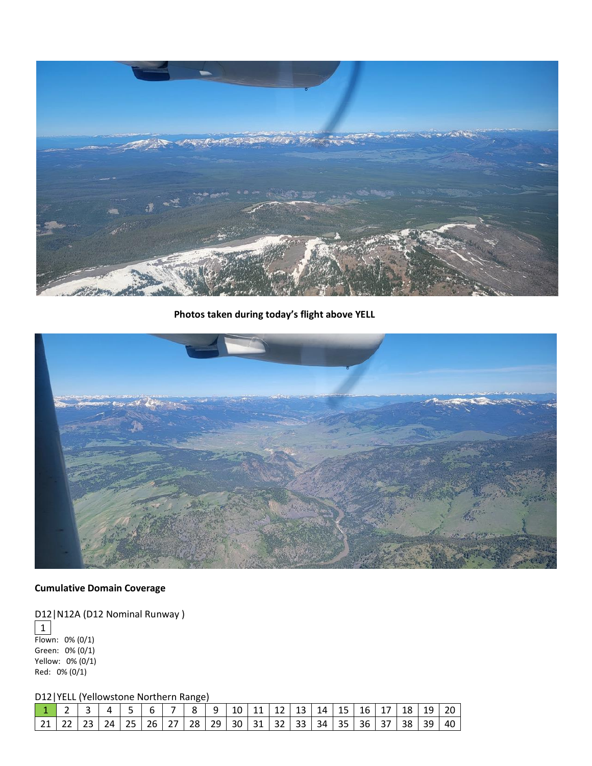

**Photos taken during today's flight above YELL**



## **Cumulative Domain Coverage**

D12 | N12A (D12 Nominal Runway )

1 Flown: 0% (0/1) Green: 0% (0/1) Yellow: 0% (0/1) Red: 0% (0/1)

D12|YELL (Yellowstone Northern Range)

|  | 1 2 3 4 5 6 7 8 9 10 11 12 13 14 15 16 17 18 19 20          |  |  |  |  |  |  |  |  |  |
|--|-------------------------------------------------------------|--|--|--|--|--|--|--|--|--|
|  | 21 22 23 24 25 26 27 28 29 30 31 32 33 34 35 36 37 38 39 40 |  |  |  |  |  |  |  |  |  |